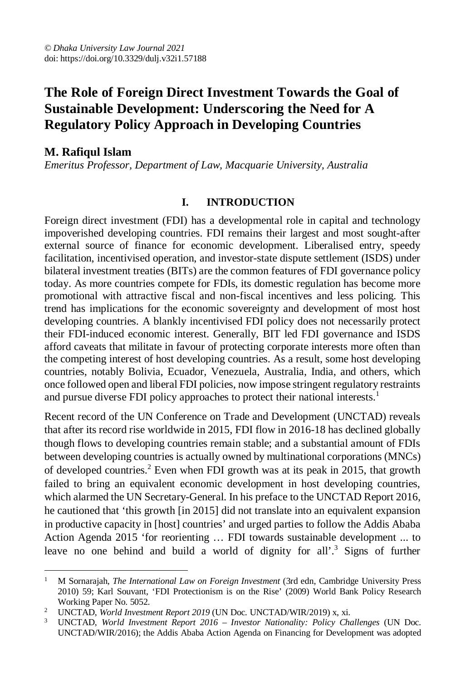# **The Role of Foreign Direct Investment Towards the Goal of Sustainable Development: Underscoring the Need for A Regulatory Policy Approach in Developing Countries**

# **M. Rafiqul Islam**

*Emeritus Professor, Department of Law, Macquarie University, Australia*

#### **I. INTRODUCTION**

Foreign direct investment (FDI) has a developmental role in capital and technology impoverished developing countries. FDI remains their largest and most sought-after external source of finance for economic development. Liberalised entry, speedy facilitation, incentivised operation, and investor-state dispute settlement (ISDS) under bilateral investment treaties (BITs) are the common features of FDI governance policy today. As more countries compete for FDIs, its domestic regulation has become more promotional with attractive fiscal and non-fiscal incentives and less policing. This trend has implications for the economic sovereignty and development of most host developing countries. A blankly incentivised FDI policy does not necessarily protect their FDI-induced economic interest. Generally, BIT led FDI governance and ISDS afford caveats that militate in favour of protecting corporate interests more often than the competing interest of host developing countries. As a result, some host developing countries, notably Bolivia, Ecuador, Venezuela, Australia, India, and others, which once followed open and liberal FDI policies, now impose stringent regulatory restraints and pursue diverse FDI policy approaches to protect their national interests.<sup>1</sup>

Recent record of the UN Conference on Trade and Development (UNCTAD) reveals that after its record rise worldwide in 2015, FDI flow in 2016-18 has declined globally though flows to developing countries remain stable; and a substantial amount of FDIs between developing countries is actually owned by multinational corporations (MNCs) of developed countries.<sup>2</sup> Even when FDI growth was at its peak in 2015, that growth failed to bring an equivalent economic development in host developing countries, which alarmed the UN Secretary-General. In his preface to the UNCTAD Report 2016, he cautioned that 'this growth [in 2015] did not translate into an equivalent expansion in productive capacity in [host] countries' and urged parties to follow the Addis Ababa Action Agenda 2015 'for reorienting … FDI towards sustainable development ... to leave no one behind and build a world of dignity for all'.<sup>3</sup> Signs of further

 $\overline{a}$ <sup>1</sup> M Sornarajah, *The International Law on Foreign Investment* (3rd edn, Cambridge University Press 2010) 59; Karl Souvant, 'FDI Protectionism is on the Rise' (2009) World Bank Policy Research Working Paper No. 5052.

<sup>&</sup>lt;sup>2</sup> UNCTAD, *World Investment Report 2019* (UN Doc. UNCTAD/WIR/2019) x, xi.

<sup>3</sup> UNCTAD, *World Investment Report 2016 – Investor Nationality: Policy Challenges* (UN Doc. UNCTAD/WIR/2016); the Addis Ababa Action Agenda on Financing for Development was adopted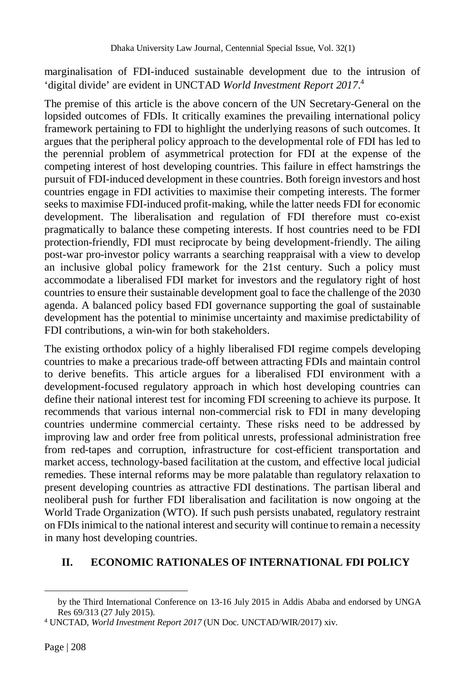marginalisation of FDI-induced sustainable development due to the intrusion of 'digital divide' are evident in UNCTAD *World Investment Report 2017*. 4

The premise of this article is the above concern of the UN Secretary-General on the lopsided outcomes of FDIs. It critically examines the prevailing international policy framework pertaining to FDI to highlight the underlying reasons of such outcomes. It argues that the peripheral policy approach to the developmental role of FDI has led to the perennial problem of asymmetrical protection for FDI at the expense of the competing interest of host developing countries. This failure in effect hamstrings the pursuit of FDI-induced development in these countries. Both foreign investors and host countries engage in FDI activities to maximise their competing interests. The former seeks to maximise FDI-induced profit-making, while the latter needs FDI for economic development. The liberalisation and regulation of FDI therefore must co-exist pragmatically to balance these competing interests. If host countries need to be FDI protection-friendly, FDI must reciprocate by being development-friendly. The ailing post-war pro-investor policy warrants a searching reappraisal with a view to develop an inclusive global policy framework for the 21st century. Such a policy must accommodate a liberalised FDI market for investors and the regulatory right of host countries to ensure their sustainable development goal to face the challenge of the 2030 agenda. A balanced policy based FDI governance supporting the goal of sustainable development has the potential to minimise uncertainty and maximise predictability of FDI contributions, a win-win for both stakeholders.

The existing orthodox policy of a highly liberalised FDI regime compels developing countries to make a precarious trade-off between attracting FDIs and maintain control to derive benefits. This article argues for a liberalised FDI environment with a development-focused regulatory approach in which host developing countries can define their national interest test for incoming FDI screening to achieve its purpose. It recommends that various internal non-commercial risk to FDI in many developing countries undermine commercial certainty. These risks need to be addressed by improving law and order free from political unrests, professional administration free from red-tapes and corruption, infrastructure for cost-efficient transportation and market access, technology-based facilitation at the custom, and effective local judicial remedies. These internal reforms may be more palatable than regulatory relaxation to present developing countries as attractive FDI destinations. The partisan liberal and neoliberal push for further FDI liberalisation and facilitation is now ongoing at the World Trade Organization (WTO). If such push persists unabated, regulatory restraint on FDIs inimical to the national interest and security will continue to remain a necessity in many host developing countries.

## **II. ECONOMIC RATIONALES OF INTERNATIONAL FDI POLICY**

l

by the Third International Conference on 13-16 July 2015 in Addis Ababa and endorsed by UNGA Res 69/313 (27 July 2015).

<sup>4</sup> UNCTAD, *World Investment Report 2017* (UN Doc. UNCTAD/WIR/2017) xiv.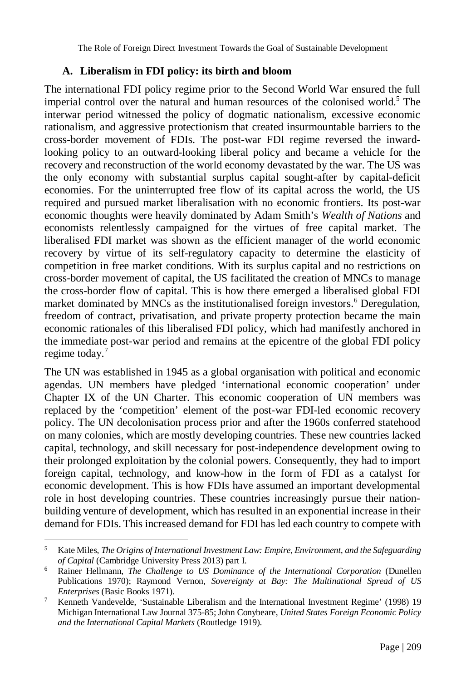The Role of Foreign Direct Investment Towards the Goal of Sustainable Development

#### **A. Liberalism in FDI policy: its birth and bloom**

The international FDI policy regime prior to the Second World War ensured the full imperial control over the natural and human resources of the colonised world.<sup>5</sup> The interwar period witnessed the policy of dogmatic nationalism, excessive economic rationalism, and aggressive protectionism that created insurmountable barriers to the cross-border movement of FDIs. The post-war FDI regime reversed the inwardlooking policy to an outward-looking liberal policy and became a vehicle for the recovery and reconstruction of the world economy devastated by the war. The US was the only economy with substantial surplus capital sought-after by capital-deficit economies. For the uninterrupted free flow of its capital across the world, the US required and pursued market liberalisation with no economic frontiers. Its post-war economic thoughts were heavily dominated by Adam Smith's *Wealth of Nations* and economists relentlessly campaigned for the virtues of free capital market. The liberalised FDI market was shown as the efficient manager of the world economic recovery by virtue of its self-regulatory capacity to determine the elasticity of competition in free market conditions. With its surplus capital and no restrictions on cross-border movement of capital, the US facilitated the creation of MNCs to manage the cross-border flow of capital. This is how there emerged a liberalised global FDI market dominated by MNCs as the institutionalised foreign investors.<sup>6</sup> Deregulation, freedom of contract, privatisation, and private property protection became the main economic rationales of this liberalised FDI policy, which had manifestly anchored in the immediate post-war period and remains at the epicentre of the global FDI policy regime today.<sup>7</sup>

The UN was established in 1945 as a global organisation with political and economic agendas. UN members have pledged 'international economic cooperation' under Chapter IX of the UN Charter. This economic cooperation of UN members was replaced by the 'competition' element of the post-war FDI-led economic recovery policy. The UN decolonisation process prior and after the 1960s conferred statehood on many colonies, which are mostly developing countries. These new countries lacked capital, technology, and skill necessary for post-independence development owing to their prolonged exploitation by the colonial powers. Consequently, they had to import foreign capital, technology, and know-how in the form of FDI as a catalyst for economic development. This is how FDIs have assumed an important developmental role in host developing countries. These countries increasingly pursue their nationbuilding venture of development, which has resulted in an exponential increase in their demand for FDIs. This increased demand for FDI has led each country to compete with

<sup>5</sup> Kate Miles, *The Origins of International Investment Law: Empire, Environment, and the Safeguarding of Capital* (Cambridge University Press 2013) part I.

<sup>6</sup> Rainer Hellmann, *The Challenge to US Dominance of the International Corporation* (Dunellen Publications 1970); Raymond Vernon, *Sovereignty at Bay: The Multinational Spread of US Enterprises* (Basic Books 1971).

<sup>7</sup> Kenneth Vandevelde, 'Sustainable Liberalism and the International Investment Regime' (1998) 19 Michigan International Law Journal 375-85; John Conybeare, *United States Foreign Economic Policy and the International Capital Markets* (Routledge 1919).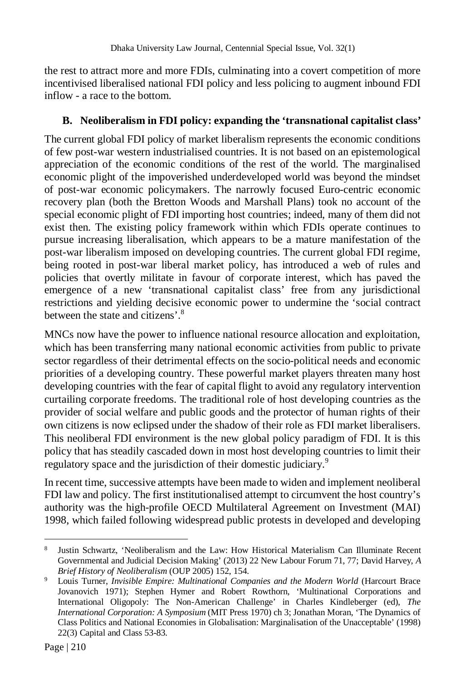the rest to attract more and more FDIs, culminating into a covert competition of more incentivised liberalised national FDI policy and less policing to augment inbound FDI inflow - a race to the bottom.

## **B. Neoliberalism in FDI policy: expanding the 'transnational capitalist class'**

The current global FDI policy of market liberalism represents the economic conditions of few post-war western industrialised countries. It is not based on an epistemological appreciation of the economic conditions of the rest of the world. The marginalised economic plight of the impoverished underdeveloped world was beyond the mindset of post-war economic policymakers. The narrowly focused Euro-centric economic recovery plan (both the Bretton Woods and Marshall Plans) took no account of the special economic plight of FDI importing host countries; indeed, many of them did not exist then. The existing policy framework within which FDIs operate continues to pursue increasing liberalisation, which appears to be a mature manifestation of the post-war liberalism imposed on developing countries. The current global FDI regime, being rooted in post-war liberal market policy, has introduced a web of rules and policies that overtly militate in favour of corporate interest, which has paved the emergence of a new 'transnational capitalist class' free from any jurisdictional restrictions and yielding decisive economic power to undermine the 'social contract between the state and citizens'.<sup>8</sup>

MNCs now have the power to influence national resource allocation and exploitation, which has been transferring many national economic activities from public to private sector regardless of their detrimental effects on the socio-political needs and economic priorities of a developing country. These powerful market players threaten many host developing countries with the fear of capital flight to avoid any regulatory intervention curtailing corporate freedoms. The traditional role of host developing countries as the provider of social welfare and public goods and the protector of human rights of their own citizens is now eclipsed under the shadow of their role as FDI market liberalisers. This neoliberal FDI environment is the new global policy paradigm of FDI. It is this policy that has steadily cascaded down in most host developing countries to limit their regulatory space and the jurisdiction of their domestic judiciary.<sup>9</sup>

In recent time, successive attempts have been made to widen and implement neoliberal FDI law and policy. The first institutionalised attempt to circumvent the host country's authority was the high-profile OECD Multilateral Agreement on Investment (MAI) 1998, which failed following widespread public protests in developed and developing

 $\overline{a}$ 8 Justin Schwartz, 'Neoliberalism and the Law: How Historical Materialism Can Illuminate Recent Governmental and Judicial Decision Making' (2013) 22 New Labour Forum 71, 77; David Harvey, *A Brief History of Neoliberalism* (OUP 2005) 152, 154.

<sup>9</sup> Louis Turner, *Invisible Empire: Multinational Companies and the Modern World* (Harcourt Brace Jovanovich 1971); Stephen Hymer and Robert Rowthorn, 'Multinational Corporations and International Oligopoly: The Non-American Challenge' in Charles Kindleberger (ed), *The International Corporation: A Symposium* (MIT Press 1970) ch 3; Jonathan Moran, 'The Dynamics of Class Politics and National Economies in Globalisation: Marginalisation of the Unacceptable' (1998) 22(3) Capital and Class 53-83.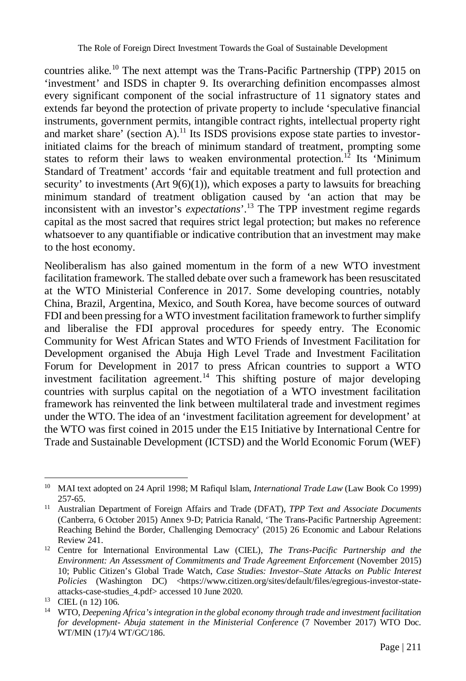countries alike.<sup>10</sup> The next attempt was the Trans-Pacific Partnership (TPP) 2015 on 'investment' and ISDS in chapter 9. Its overarching definition encompasses almost every significant component of the social infrastructure of 11 signatory states and extends far beyond the protection of private property to include 'speculative financial instruments, government permits, intangible contract rights, intellectual property right and market share' (section A).<sup>11</sup> Its ISDS provisions expose state parties to investorinitiated claims for the breach of minimum standard of treatment, prompting some states to reform their laws to weaken environmental protection.<sup>12</sup> Its 'Minimum Standard of Treatment' accords 'fair and equitable treatment and full protection and security' to investments  $(Art 9(6)(1))$ , which exposes a party to lawsuits for breaching minimum standard of treatment obligation caused by 'an action that may be inconsistent with an investor's *expectations*'.<sup>13</sup> The TPP investment regime regards capital as the most sacred that requires strict legal protection; but makes no reference whatsoever to any quantifiable or indicative contribution that an investment may make to the host economy.

Neoliberalism has also gained momentum in the form of a new WTO investment facilitation framework. The stalled debate over such a framework has been resuscitated at the WTO Ministerial Conference in 2017. Some developing countries, notably China, Brazil, Argentina, Mexico, and South Korea, have become sources of outward FDI and been pressing for a WTO investment facilitation framework to further simplify and liberalise the FDI approval procedures for speedy entry. The Economic Community for West African States and WTO Friends of Investment Facilitation for Development organised the Abuja High Level Trade and Investment Facilitation Forum for Development in 2017 to press African countries to support a WTO investment facilitation agreement.<sup>14</sup> This shifting posture of major developing countries with surplus capital on the negotiation of a WTO investment facilitation framework has reinvented the link between multilateral trade and investment regimes under the WTO. The idea of an 'investment facilitation agreement for development' at the WTO was first coined in 2015 under the E15 Initiative by International Centre for Trade and Sustainable Development (ICTSD) and the World Economic Forum (WEF)

 $\overline{a}$ <sup>10</sup> MAI text adopted on 24 April 1998; M Rafiqul Islam, *International Trade Law* (Law Book Co 1999) 257-65.

<sup>11</sup> Australian Department of Foreign Affairs and Trade (DFAT), *TPP Text and Associate Documents*  (Canberra, 6 October 2015) Annex 9-D; Patricia Ranald, 'The Trans-Pacific Partnership Agreement: Reaching Behind the Border, Challenging Democracy' (2015) 26 Economic and Labour Relations Review 241.

<sup>12</sup> Centre for International Environmental Law (CIEL), *The Trans-Pacific Partnership and the Environment: An Assessment of Commitments and Trade Agreement Enforcement* (November 2015) 10; Public Citizen's Global Trade Watch, *Case Studies: Investor*–*State Attacks on Public Interest*  Policies (Washington DC) <https://www.citizen.org/sites/default/files/egregious-investor-stateattacks-case-studies\_4.pdf> accessed 10 June 2020.

<sup>13</sup> CIEL (n 12) 106.

<sup>14</sup> WTO, *Deepening Africa's integration in the global economy through trade and investment facilitation for development- Abuja statement in the Ministerial Conference* (7 November 2017) WTO Doc. WT/MIN (17)/4 WT/GC/186.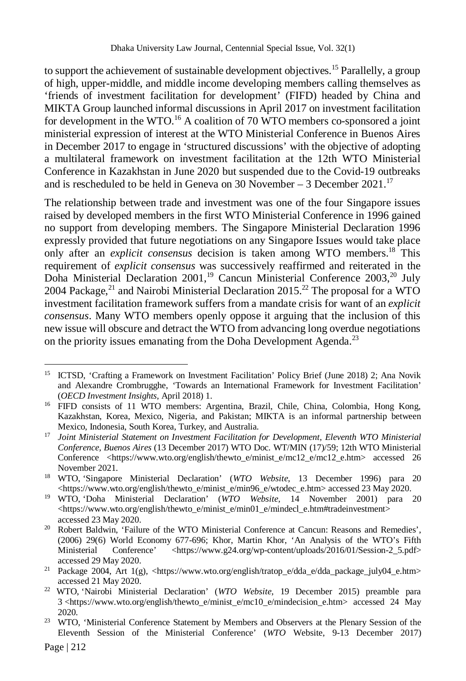to support the achievement of sustainable development objectives.<sup>15</sup> Parallelly, a group of high, upper-middle, and middle income developing members calling themselves as 'friends of investment facilitation for development' (FIFD) headed by China and MIKTA Group launched informal discussions in April 2017 on investment facilitation for development in the WTO.<sup>16</sup> A coalition of 70 WTO members co-sponsored a joint ministerial expression of interest at the WTO Ministerial Conference in Buenos Aires in December 2017 to engage in 'structured discussions' with the objective of adopting a multilateral framework on investment facilitation at the 12th WTO Ministerial Conference in Kazakhstan in June 2020 but suspended due to the Covid-19 outbreaks and is rescheduled to be held in Geneva on 30 November – 3 December 2021.<sup>17</sup>

The relationship between trade and investment was one of the four Singapore issues raised by developed members in the first WTO Ministerial Conference in 1996 gained no support from developing members. The Singapore Ministerial Declaration 1996 expressly provided that future negotiations on any Singapore Issues would take place only after an *explicit consensus* decision is taken among WTO members.<sup>18</sup> This requirement of *explicit consensus* was successively reaffirmed and reiterated in the Doha Ministerial Declaration 2001,<sup>19</sup> Cancun Ministerial Conference 2003,<sup>20</sup> July 2004 Package,<sup>21</sup> and Nairobi Ministerial Declaration 2015.<sup>22</sup> The proposal for a WTO investment facilitation framework suffers from a mandate crisis for want of an *explicit consensus*. Many WTO members openly oppose it arguing that the inclusion of this new issue will obscure and detract the WTO from advancing long overdue negotiations on the priority issues emanating from the Doha Development Agenda.<sup>23</sup>

<sup>&</sup>lt;sup>15</sup> ICTSD, 'Crafting a Framework on Investment Facilitation' Policy Brief (June 2018) 2; Ana Novik and Alexandre Crombrugghe, 'Towards an International Framework for Investment Facilitation' (*OECD Investment Insights,* April 2018) 1.

<sup>&</sup>lt;sup>16</sup> FIFD consists of 11 WTO members: Argentina, Brazil, Chile, China, Colombia, Hong Kong, Kazakhstan, Korea, Mexico, Nigeria, and Pakistan; MIKTA is an informal partnership between Mexico, Indonesia, South Korea, Turkey, and Australia.

<sup>17</sup> *Joint Ministerial Statement on Investment Facilitation for Development, Eleventh WTO Ministerial Conference, Buenos Aires* (13 December 2017) WTO Doc. WT/MIN (17)/59; 12th WTO Ministerial Conference <https://www.wto.org/english/thewto\_e/minist\_e/mc12\_e/mc12\_e.htm> accessed 26 November 2021.

<sup>18</sup> WTO, 'Singapore Ministerial Declaration' (*WTO Website,* 13 December 1996) para 20 <https://www.wto.org/english/thewto\_e/minist\_e/min96\_e/wtodec\_e.htm> accessed 23 May 2020.

<sup>19</sup> WTO, 'Doha Ministerial Declaration' (*WTO Website,* 14 November 2001) para 20 <https://www.wto.org/english/thewto\_e/minist\_e/min01\_e/mindecl\_e.htm#tradeinvestment> accessed 23 May 2020.

<sup>20</sup> Robert Baldwin, 'Failure of the WTO Ministerial Conference at Cancun: Reasons and Remedies', (2006) 29(6) World Economy 677-696; Khor, Martin Khor, 'An Analysis of the WTO's Fifth Ministerial Conference' <https://www.g24.org/wp-content/uploads/2016/01/Session-2\_5.pdf> accessed 29 May 2020.

<sup>21</sup> Package 2004, Art 1(g), <https://www.wto.org/english/tratop\_e/dda\_e/dda\_package\_july04\_e.htm> accessed 21 May 2020.

<sup>22</sup> WTO, 'Nairobi Ministerial Declaration' (*WTO Website,* 19 December 2015) preamble para 3 <https://www.wto.org/english/thewto\_e/minist\_e/mc10\_e/mindecision\_e.htm> accessed 24 May 2020.

<sup>&</sup>lt;sup>23</sup> WTO, 'Ministerial Conference Statement by Members and Observers at the Plenary Session of the Eleventh Session of the Ministerial Conference' (*WTO* Website, 9-13 December 2017)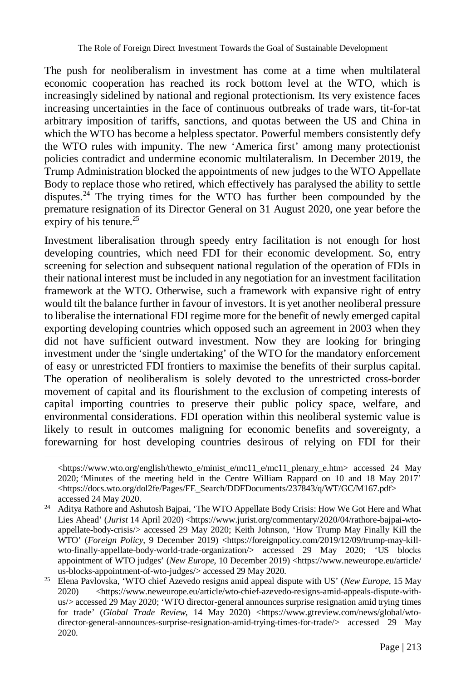The push for neoliberalism in investment has come at a time when multilateral economic cooperation has reached its rock bottom level at the WTO, which is increasingly sidelined by national and regional protectionism. Its very existence faces increasing uncertainties in the face of continuous outbreaks of trade wars, tit-for-tat arbitrary imposition of tariffs, sanctions, and quotas between the US and China in which the WTO has become a helpless spectator. Powerful members consistently defy the WTO rules with impunity. The new 'America first' among many protectionist policies contradict and undermine economic multilateralism. In December 2019, the Trump Administration blocked the appointments of new judges to the WTO Appellate Body to replace those who retired, which effectively has paralysed the ability to settle disputes.<sup>24</sup> The trying times for the WTO has further been compounded by the premature resignation of its Director General on 31 August 2020, one year before the expiry of his tenure. $^{25}$ 

Investment liberalisation through speedy entry facilitation is not enough for host developing countries, which need FDI for their economic development. So, entry screening for selection and subsequent national regulation of the operation of FDIs in their national interest must be included in any negotiation for an investment facilitation framework at the WTO. Otherwise, such a framework with expansive right of entry would tilt the balance further in favour of investors. It is yet another neoliberal pressure to liberalise the international FDI regime more for the benefit of newly emerged capital exporting developing countries which opposed such an agreement in 2003 when they did not have sufficient outward investment. Now they are looking for bringing investment under the 'single undertaking' of the WTO for the mandatory enforcement of easy or unrestricted FDI frontiers to maximise the benefits of their surplus capital. The operation of neoliberalism is solely devoted to the unrestricted cross-border movement of capital and its flourishment to the exclusion of competing interests of capital importing countries to preserve their public policy space, welfare, and environmental considerations. FDI operation within this neoliberal systemic value is likely to result in outcomes maligning for economic benefits and sovereignty, a forewarning for host developing countries desirous of relying on FDI for their

<sup>&</sup>lt;https://www.wto.org/english/thewto\_e/minist\_e/mc11\_e/mc11\_plenary\_e.htm> accessed 24 May 2020; 'Minutes of the meeting held in the Centre William Rappard on 10 and 18 May 2017' <https://docs.wto.org/dol2fe/Pages/FE\_Search/DDFDocuments/237843/q/WT/GC/M167.pdf> accessed 24 May 2020.

<sup>&</sup>lt;sup>24</sup> Aditya Rathore and Ashutosh Bajpai, 'The WTO Appellate Body Crisis: How We Got Here and What Lies Ahead' (*Jurist* 14 April 2020) <https://www.jurist.org/commentary/2020/04/rathore-bajpai-wtoappellate-body-crisis/> accessed 29 May 2020; Keith Johnson, 'How Trump May Finally Kill the WTO' (*Foreign Policy*, 9 December 2019) <https://foreignpolicy.com/2019/12/09/trump-may-killwto-finally-appellate-body-world-trade-organization/> accessed 29 May 2020; 'US blocks appointment of WTO judges' (*New Europe*, 10 December 2019) <https://www.neweurope.eu/article/ us-blocks-appointment-of-wto-judges/> accessed 29 May 2020.

<sup>25</sup> Elena Pavlovska, 'WTO chief Azevedo resigns amid appeal dispute with US' (*New Europe*, 15 May 2020) <https://www.neweurope.eu/article/wto-chief-azevedo-resigns-amid-appeals-dispute-withus/> accessed 29 May 2020; 'WTO director-general announces surprise resignation amid trying times for trade' (*Global Trade Review*, 14 May 2020) <https://www.gtreview.com/news/global/wtodirector-general-announces-surprise-resignation-amid-trying-times-for-trade/> accessed 29 May 2020.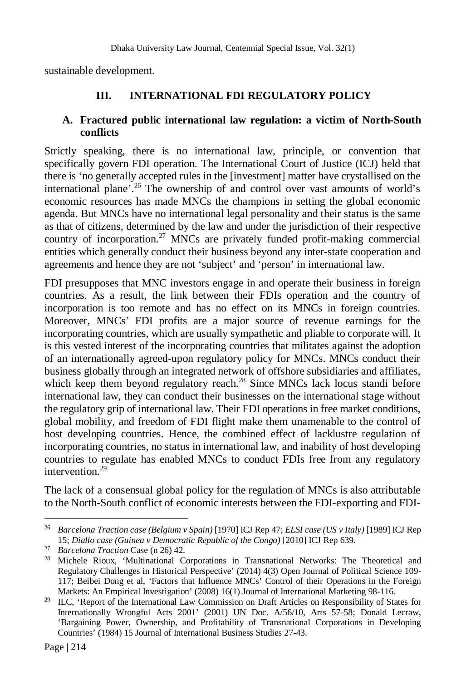sustainable development.

## **III. INTERNATIONAL FDI REGULATORY POLICY**

#### **A. Fractured public international law regulation: a victim of North-South conflicts**

Strictly speaking, there is no international law, principle, or convention that specifically govern FDI operation. The International Court of Justice (ICJ) held that there is 'no generally accepted rules in the [investment] matter have crystallised on the international plane'.<sup>26</sup> The ownership of and control over vast amounts of world's economic resources has made MNCs the champions in setting the global economic agenda. But MNCs have no international legal personality and their status is the same as that of citizens, determined by the law and under the jurisdiction of their respective country of incorporation.<sup>27</sup> MNCs are privately funded profit-making commercial entities which generally conduct their business beyond any inter-state cooperation and agreements and hence they are not 'subject' and 'person' in international law.

FDI presupposes that MNC investors engage in and operate their business in foreign countries. As a result, the link between their FDIs operation and the country of incorporation is too remote and has no effect on its MNCs in foreign countries. Moreover, MNCs' FDI profits are a major source of revenue earnings for the incorporating countries, which are usually sympathetic and pliable to corporate will. It is this vested interest of the incorporating countries that militates against the adoption of an internationally agreed-upon regulatory policy for MNCs. MNCs conduct their business globally through an integrated network of offshore subsidiaries and affiliates, which keep them beyond regulatory reach.<sup>28</sup> Since MNCs lack locus standi before international law, they can conduct their businesses on the international stage without the regulatory grip of international law. Their FDI operations in free market conditions, global mobility, and freedom of FDI flight make them unamenable to the control of host developing countries. Hence, the combined effect of lacklustre regulation of incorporating countries, no status in international law, and inability of host developing countries to regulate has enabled MNCs to conduct FDIs free from any regulatory intervention $29$ 

The lack of a consensual global policy for the regulation of MNCs is also attributable to the North-South conflict of economic interests between the FDI-exporting and FDI-

<sup>26</sup> *Barcelona Traction case (Belgium v Spain)* [1970] ICJ Rep 47; *ELSI case (US v Italy)* [1989] ICJ Rep 15; *Diallo case (Guinea v Democratic Republic of the Congo)* [2010] ICJ Rep 639.

<sup>27</sup> *Barcelona Traction* Case (n 26) 42.

<sup>&</sup>lt;sup>28</sup> Michele Rioux, 'Multinational Corporations in Transnational Networks: The Theoretical and Regulatory Challenges in Historical Perspective' (2014) 4(3) Open Journal of Political Science 109- 117; Beibei Dong et al, 'Factors that Influence MNCs' Control of their Operations in the Foreign Markets: An Empirical Investigation' (2008) 16(1) Journal of International Marketing 98-116.

<sup>&</sup>lt;sup>29</sup> ILC, 'Report of the International Law Commission on Draft Articles on Responsibility of States for Internationally Wrongful Acts 2001' (2001) UN Doc. A/56/10, Arts 57-58; Donald Lecraw, 'Bargaining Power, Ownership, and Profitability of Transnational Corporations in Developing Countries' (1984) 15 Journal of International Business Studies 27-43.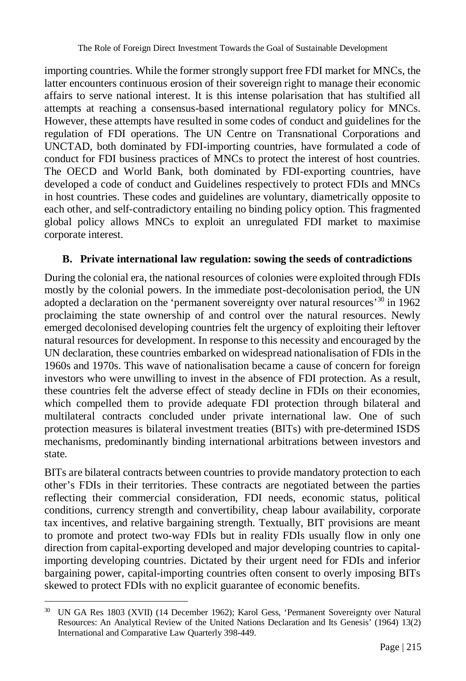importing countries. While the former strongly support free FDI market for MNCs, the latter encounters continuous erosion of their sovereign right to manage their economic affairs to serve national interest. It is this intense polarisation that has stultified all attempts at reaching a consensus-based international regulatory policy for MNCs. However, these attempts have resulted in some codes of conduct and guidelines for the regulation of FDI operations. The UN Centre on Transnational Corporations and UNCTAD, both dominated by FDI-importing countries, have formulated a code of conduct for FDI business practices of MNCs to protect the interest of host countries. The OECD and World Bank, both dominated by FDI-exporting countries, have developed a code of conduct and Guidelines respectively to protect FDIs and MNCs in host countries. These codes and guidelines are voluntary, diametrically opposite to each other, and self-contradictory entailing no binding policy option. This fragmented global policy allows MNCs to exploit an unregulated FDI market to maximise corporate interest.

## **B. Private international law regulation: sowing the seeds of contradictions**

During the colonial era, the national resources of colonies were exploited through FDIs mostly by the colonial powers. In the immediate post-decolonisation period, the UN adopted a declaration on the 'permanent sovereignty over natural resources'<sup>30</sup> in 1962 proclaiming the state ownership of and control over the natural resources. Newly emerged decolonised developing countries felt the urgency of exploiting their leftover natural resources for development. In response to this necessity and encouraged by the UN declaration, these countries embarked on widespread nationalisation of FDIs in the 1960s and 1970s. This wave of nationalisation became a cause of concern for foreign investors who were unwilling to invest in the absence of FDI protection. As a result, these countries felt the adverse effect of steady decline in FDIs on their economies, which compelled them to provide adequate FDI protection through bilateral and multilateral contracts concluded under private international law. One of such protection measures is bilateral investment treaties (BITs) with pre-determined ISDS mechanisms, predominantly binding international arbitrations between investors and state.

BITs are bilateral contracts between countries to provide mandatory protection to each other's FDIs in their territories. These contracts are negotiated between the parties reflecting their commercial consideration, FDI needs, economic status, political conditions, currency strength and convertibility, cheap labour availability, corporate tax incentives, and relative bargaining strength. Textually, BIT provisions are meant to promote and protect two-way FDIs but in reality FDIs usually flow in only one direction from capital-exporting developed and major developing countries to capitalimporting developing countries. Dictated by their urgent need for FDIs and inferior bargaining power, capital-importing countries often consent to overly imposing BITs skewed to protect FDIs with no explicit guarantee of economic benefits.

 $\overline{a}$ <sup>30</sup> UN GA Res 1803 (XVII) (14 December 1962); Karol Gess, 'Permanent Sovereignty over Natural Resources: An Analytical Review of the United Nations Declaration and Its Genesis' (1964) 13(2) International and Comparative Law Quarterly 398-449.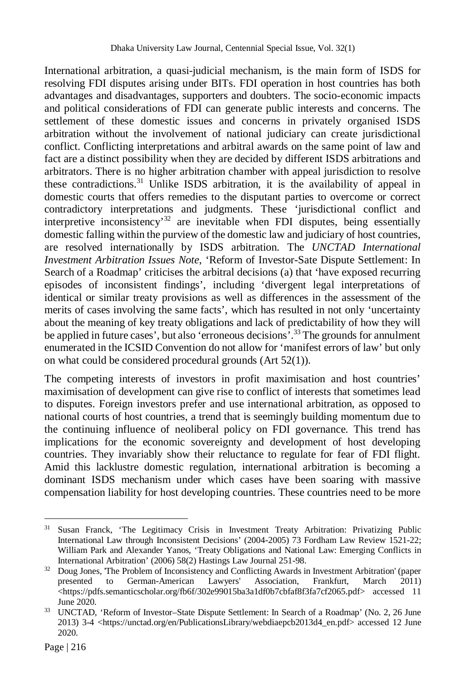International arbitration, a quasi-judicial mechanism, is the main form of ISDS for resolving FDI disputes arising under BITs. FDI operation in host countries has both advantages and disadvantages, supporters and doubters. The socio-economic impacts and political considerations of FDI can generate public interests and concerns. The settlement of these domestic issues and concerns in privately organised ISDS arbitration without the involvement of national judiciary can create jurisdictional conflict. Conflicting interpretations and arbitral awards on the same point of law and fact are a distinct possibility when they are decided by different ISDS arbitrations and arbitrators. There is no higher arbitration chamber with appeal jurisdiction to resolve these contradictions.<sup>31</sup> Unlike ISDS arbitration, it is the availability of appeal in domestic courts that offers remedies to the disputant parties to overcome or correct contradictory interpretations and judgments. These 'jurisdictional conflict and interpretive inconsistency<sup>32</sup> are inevitable when FDI disputes, being essentially domestic falling within the purview of the domestic law and judiciary of host countries, are resolved internationally by ISDS arbitration. The *UNCTAD International Investment Arbitration Issues Note*, 'Reform of Investor-Sate Dispute Settlement: In Search of a Roadmap' criticises the arbitral decisions (a) that 'have exposed recurring episodes of inconsistent findings', including 'divergent legal interpretations of identical or similar treaty provisions as well as differences in the assessment of the merits of cases involving the same facts', which has resulted in not only 'uncertainty about the meaning of key treaty obligations and lack of predictability of how they will be applied in future cases', but also 'erroneous decisions'.<sup>33</sup> The grounds for annulment enumerated in the ICSID Convention do not allow for 'manifest errors of law' but only on what could be considered procedural grounds (Art 52(1)).

The competing interests of investors in profit maximisation and host countries' maximisation of development can give rise to conflict of interests that sometimes lead to disputes. Foreign investors prefer and use international arbitration, as opposed to national courts of host countries, a trend that is seemingly building momentum due to the continuing influence of neoliberal policy on FDI governance. This trend has implications for the economic sovereignty and development of host developing countries. They invariably show their reluctance to regulate for fear of FDI flight. Amid this lacklustre domestic regulation, international arbitration is becoming a dominant ISDS mechanism under which cases have been soaring with massive compensation liability for host developing countries. These countries need to be more

 $\overline{a}$ <sup>31</sup> Susan Franck, 'The Legitimacy Crisis in Investment Treaty Arbitration: Privatizing Public International Law through Inconsistent Decisions' (2004-2005) 73 Fordham Law Review 1521-22; William Park and Alexander Yanos, 'Treaty Obligations and National Law: Emerging Conflicts in International Arbitration' (2006) 58(2) Hastings Law Journal 251-98.

<sup>&</sup>lt;sup>32</sup> Doug Jones, The Problem of Inconsistency and Conflicting Awards in Investment Arbitration' (paper presented to German-American Lawyers' Association, Frankfurt, March 2011) <https://pdfs.semanticscholar.org/fb6f/302e99015ba3a1df0b7cbfaf8f3fa7cf2065.pdf> accessed 11 June 2020.

<sup>33</sup> UNCTAD, 'Reform of Investor–State Dispute Settlement: In Search of a Roadmap' (No. 2, 26 June 2013) 3-4 <https://unctad.org/en/PublicationsLibrary/webdiaepcb2013d4\_en.pdf> accessed 12 June 2020.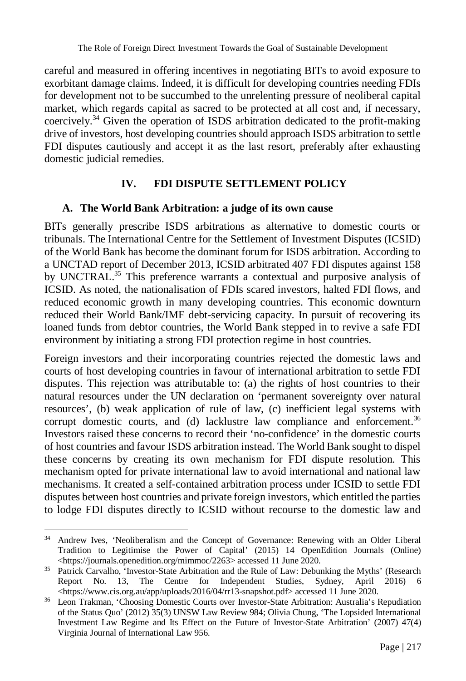careful and measured in offering incentives in negotiating BITs to avoid exposure to exorbitant damage claims. Indeed, it is difficult for developing countries needing FDIs for development not to be succumbed to the unrelenting pressure of neoliberal capital market, which regards capital as sacred to be protected at all cost and, if necessary, coercively.<sup>34</sup> Given the operation of ISDS arbitration dedicated to the profit-making drive of investors, host developing countries should approach ISDS arbitration to settle FDI disputes cautiously and accept it as the last resort, preferably after exhausting domestic judicial remedies.

## **IV. FDI DISPUTE SETTLEMENT POLICY**

#### **A. The World Bank Arbitration: a judge of its own cause**

BITs generally prescribe ISDS arbitrations as alternative to domestic courts or tribunals. The International Centre for the Settlement of Investment Disputes (ICSID) of the World Bank has become the dominant forum for ISDS arbitration. According to a UNCTAD report of December 2013, ICSID arbitrated 407 FDI disputes against 158 by UNCTRAL.<sup>35</sup> This preference warrants a contextual and purposive analysis of ICSID. As noted, the nationalisation of FDIs scared investors, halted FDI flows, and reduced economic growth in many developing countries. This economic downturn reduced their World Bank/IMF debt-servicing capacity. In pursuit of recovering its loaned funds from debtor countries, the World Bank stepped in to revive a safe FDI environment by initiating a strong FDI protection regime in host countries.

Foreign investors and their incorporating countries rejected the domestic laws and courts of host developing countries in favour of international arbitration to settle FDI disputes. This rejection was attributable to: (a) the rights of host countries to their natural resources under the UN declaration on 'permanent sovereignty over natural resources', (b) weak application of rule of law, (c) inefficient legal systems with corrupt domestic courts, and (d) lacklustre law compliance and enforcement.<sup>36</sup> Investors raised these concerns to record their 'no-confidence' in the domestic courts of host countries and favour ISDS arbitration instead. The World Bank sought to dispel these concerns by creating its own mechanism for FDI dispute resolution. This mechanism opted for private international law to avoid international and national law mechanisms. It created a self-contained arbitration process under ICSID to settle FDI disputes between host countries and private foreign investors, which entitled the parties to lodge FDI disputes directly to ICSID without recourse to the domestic law and

 $\overline{a}$ <sup>34</sup> Andrew Ives, 'Neoliberalism and the Concept of Governance: Renewing with an Older Liberal Tradition to Legitimise the Power of Capital' (2015) 14 OpenEdition Journals (Online) <https://journals.openedition.org/mimmoc/2263> accessed 11 June 2020.

<sup>&</sup>lt;sup>35</sup> Patrick Carvalho, 'Investor-State Arbitration and the Rule of Law: Debunking the Myths' (Research Report No. 13, The Centre for Independent Studies, Sydney, April 2016) <https://www.cis.org.au/app/uploads/2016/04/rr13-snapshot.pdf> accessed 11 June 2020.

<sup>36</sup> Leon Trakman, 'Choosing Domestic Courts over Investor-State Arbitration: Australia's Repudiation of the Status Quo' (2012) 35(3) UNSW Law Review 984; Olivia Chung, 'The Lopsided International Investment Law Regime and Its Effect on the Future of Investor-State Arbitration' (2007) 47(4) Virginia Journal of International Law 956.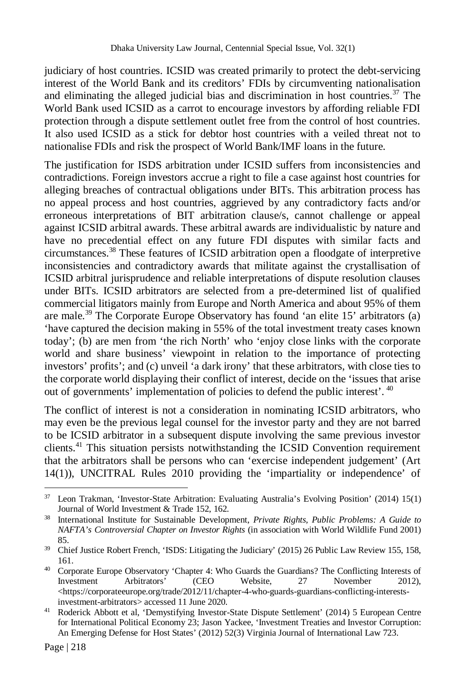judiciary of host countries. ICSID was created primarily to protect the debt-servicing interest of the World Bank and its creditors' FDIs by circumventing nationalisation and eliminating the alleged judicial bias and discrimination in host countries.<sup>37</sup> The World Bank used ICSID as a carrot to encourage investors by affording reliable FDI protection through a dispute settlement outlet free from the control of host countries. It also used ICSID as a stick for debtor host countries with a veiled threat not to nationalise FDIs and risk the prospect of World Bank/IMF loans in the future.

The justification for ISDS arbitration under ICSID suffers from inconsistencies and contradictions. Foreign investors accrue a right to file a case against host countries for alleging breaches of contractual obligations under BITs. This arbitration process has no appeal process and host countries, aggrieved by any contradictory facts and/or erroneous interpretations of BIT arbitration clause/s, cannot challenge or appeal against ICSID arbitral awards. These arbitral awards are individualistic by nature and have no precedential effect on any future FDI disputes with similar facts and circumstances.<sup>38</sup> These features of ICSID arbitration open a floodgate of interpretive inconsistencies and contradictory awards that militate against the crystallisation of ICSID arbitral jurisprudence and reliable interpretations of dispute resolution clauses under BITs. ICSID arbitrators are selected from a pre-determined list of qualified commercial litigators mainly from Europe and North America and about 95% of them are male.<sup>39</sup> The Corporate Europe Observatory has found 'an elite 15' arbitrators (a) 'have captured the decision making in 55% of the total investment treaty cases known today'; (b) are men from 'the rich North' who 'enjoy close links with the corporate world and share business' viewpoint in relation to the importance of protecting investors' profits'; and (c) unveil 'a dark irony' that these arbitrators, with close ties to the corporate world displaying their conflict of interest, decide on the 'issues that arise out of governments' implementation of policies to defend the public interest'.  $40$ 

The conflict of interest is not a consideration in nominating ICSID arbitrators, who may even be the previous legal counsel for the investor party and they are not barred to be ICSID arbitrator in a subsequent dispute involving the same previous investor clients.<sup>41</sup> This situation persists notwithstanding the ICSID Convention requirement that the arbitrators shall be persons who can 'exercise independent judgement' (Art 14(1)), UNCITRAL Rules 2010 providing the 'impartiality or independence' of

 $\overline{a}$ <sup>37</sup> Leon Trakman, 'Investor-State Arbitration: Evaluating Australia's Evolving Position' (2014) 15(1) Journal of World Investment & Trade 152, 162.

<sup>38</sup> International Institute for Sustainable Development, *Private Rights, Public Problems: A Guide to NAFTA's Controversial Chapter on Investor Rights* (in association with World Wildlife Fund 2001) 85.

<sup>39</sup> Chief Justice Robert French, 'ISDS: Litigating the Judiciary' (2015) 26 Public Law Review 155, 158, 161.

<sup>40</sup> Corporate Europe Observatory 'Chapter 4: Who Guards the Guardians? The Conflicting Interests of Investment Arbitrators' (CEO Website, 27 November 2012), <https://corporateeurope.org/trade/2012/11/chapter-4-who-guards-guardians-conflicting-interestsinvestment-arbitrators> accessed 11 June 2020.

<sup>41</sup> Roderick Abbott et al, 'Demystifying Investor-State Dispute Settlement' (2014) 5 European Centre for International Political Economy 23; Jason Yackee, 'Investment Treaties and Investor Corruption: An Emerging Defense for Host States' (2012) 52(3) Virginia Journal of International Law 723.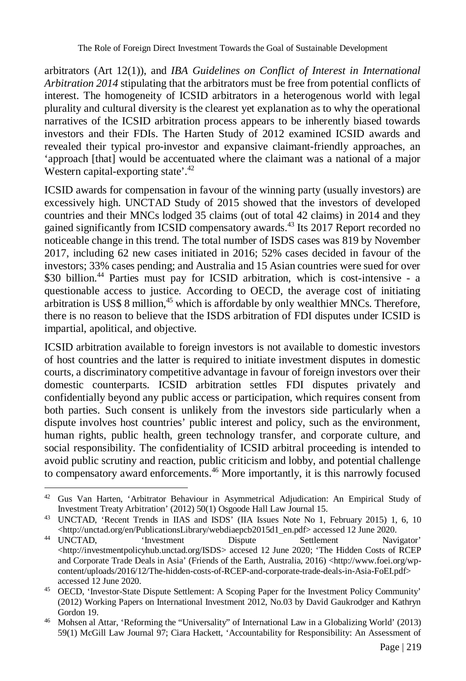arbitrators (Art 12(1)), and *IBA Guidelines on Conflict of Interest in International Arbitration 2014* stipulating that the arbitrators must be free from potential conflicts of interest. The homogeneity of ICSID arbitrators in a heterogenous world with legal plurality and cultural diversity is the clearest yet explanation as to why the operational narratives of the ICSID arbitration process appears to be inherently biased towards investors and their FDIs. The Harten Study of 2012 examined ICSID awards and revealed their typical pro-investor and expansive claimant-friendly approaches, an 'approach [that] would be accentuated where the claimant was a national of a major Western capital-exporting state'.<sup>42</sup>

ICSID awards for compensation in favour of the winning party (usually investors) are excessively high. UNCTAD Study of 2015 showed that the investors of developed countries and their MNCs lodged 35 claims (out of total 42 claims) in 2014 and they gained significantly from ICSID compensatory awards.<sup>43</sup> Its 2017 Report recorded no noticeable change in this trend. The total number of ISDS cases was 819 by November 2017, including 62 new cases initiated in 2016; 52% cases decided in favour of the investors; 33% cases pending; and Australia and 15 Asian countries were sued for over \$30 billion.<sup>44</sup> Parties must pay for ICSID arbitration, which is cost-intensive - a questionable access to justice. According to OECD, the average cost of initiating arbitration is US\$ 8 million, $45$  which is affordable by only wealthier MNCs. Therefore, there is no reason to believe that the ISDS arbitration of FDI disputes under ICSID is impartial, apolitical, and objective.

ICSID arbitration available to foreign investors is not available to domestic investors of host countries and the latter is required to initiate investment disputes in domestic courts, a discriminatory competitive advantage in favour of foreign investors over their domestic counterparts. ICSID arbitration settles FDI disputes privately and confidentially beyond any public access or participation, which requires consent from both parties. Such consent is unlikely from the investors side particularly when a dispute involves host countries' public interest and policy, such as the environment, human rights, public health, green technology transfer, and corporate culture, and social responsibility. The confidentiality of ICSID arbitral proceeding is intended to avoid public scrutiny and reaction, public criticism and lobby, and potential challenge to compensatory award enforcements.<sup>46</sup> More importantly, it is this narrowly focused

<sup>&</sup>lt;sup>42</sup> Gus Van Harten, 'Arbitrator Behaviour in Asymmetrical Adjudication: An Empirical Study of Investment Treaty Arbitration' (2012) 50(1) Osgoode Hall Law Journal 15.

<sup>43</sup> UNCTAD, 'Recent Trends in IIAS and ISDS' (IIA Issues Note No 1, February 2015) 1, 6, 10 <http://unctad.org/en/PublicationsLibrary/webdiaepcb2015d1\_en.pdf> accessed 12 June 2020.

<sup>&</sup>lt;sup>44</sup> UNCTAD, 'Investment Dispute Settlement Navigator' <http://investmentpolicyhub.unctad.org/ISDS> accesed 12 June 2020; 'The Hidden Costs of RCEP and Corporate Trade Deals in Asia' (Friends of the Earth, Australia, 2016) <http://www.foei.org/wpcontent/uploads/2016/12/The-hidden-costs-of-RCEP-and-corporate-trade-deals-in-Asia-FoEI.pdf> accessed 12 June 2020.

<sup>45</sup> OECD, 'Investor-State Dispute Settlement: A Scoping Paper for the Investment Policy Community' (2012) Working Papers on International Investment 2012, No.03 by David Gaukrodger and Kathryn Gordon 19.

<sup>46</sup> Mohsen al Attar, 'Reforming the "Universality" of International Law in a Globalizing World' (2013) 59(1) McGill Law Journal 97; Ciara Hackett, 'Accountability for Responsibility: An Assessment of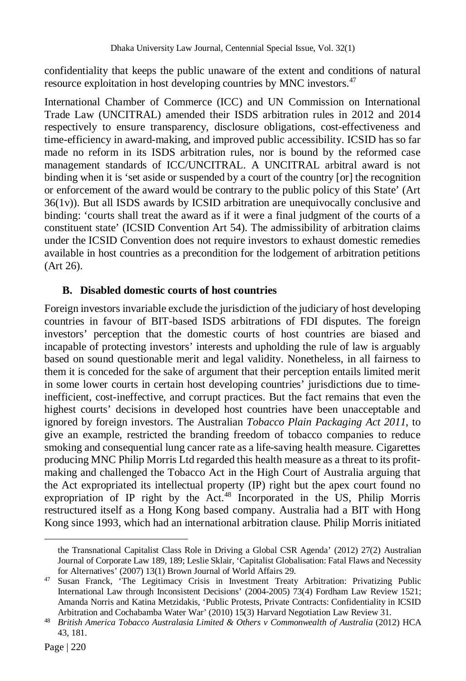confidentiality that keeps the public unaware of the extent and conditions of natural resource exploitation in host developing countries by MNC investors.<sup>47</sup>

International Chamber of Commerce (ICC) and UN Commission on International Trade Law (UNCITRAL) amended their ISDS arbitration rules in 2012 and 2014 respectively to ensure transparency, disclosure obligations, cost-effectiveness and time-efficiency in award-making, and improved public accessibility. ICSID has so far made no reform in its ISDS arbitration rules, nor is bound by the reformed case management standards of ICC/UNCITRAL. A UNCITRAL arbitral award is not binding when it is 'set aside or suspended by a court of the country [or] the recognition or enforcement of the award would be contrary to the public policy of this State' (Art 36(1v)). But all ISDS awards by ICSID arbitration are unequivocally conclusive and binding: 'courts shall treat the award as if it were a final judgment of the courts of a constituent state' (ICSID Convention Art 54). The admissibility of arbitration claims under the ICSID Convention does not require investors to exhaust domestic remedies available in host countries as a precondition for the lodgement of arbitration petitions (Art 26).

#### **B. Disabled domestic courts of host countries**

Foreign investors invariable exclude the jurisdiction of the judiciary of host developing countries in favour of BIT-based ISDS arbitrations of FDI disputes. The foreign investors' perception that the domestic courts of host countries are biased and incapable of protecting investors' interests and upholding the rule of law is arguably based on sound questionable merit and legal validity. Nonetheless, in all fairness to them it is conceded for the sake of argument that their perception entails limited merit in some lower courts in certain host developing countries' jurisdictions due to timeinefficient, cost-ineffective, and corrupt practices. But the fact remains that even the highest courts' decisions in developed host countries have been unacceptable and ignored by foreign investors. The Australian *Tobacco Plain Packaging Act 2011*, to give an example, restricted the branding freedom of tobacco companies to reduce smoking and consequential lung cancer rate as a life-saving health measure. Cigarettes producing MNC Philip Morris Ltd regarded this health measure as a threat to its profitmaking and challenged the Tobacco Act in the High Court of Australia arguing that the Act expropriated its intellectual property (IP) right but the apex court found no expropriation of IP right by the  $Act.^{48}$  Incorporated in the US, Philip Morris restructured itself as a Hong Kong based company. Australia had a BIT with Hong Kong since 1993, which had an international arbitration clause. Philip Morris initiated

the Transnational Capitalist Class Role in Driving a Global CSR Agenda' (2012) 27(2) Australian Journal of Corporate Law 189, 189; Leslie Sklair, 'Capitalist Globalisation: Fatal Flaws and Necessity for Alternatives' (2007) 13(1) Brown Journal of World Affairs 29.

<sup>47</sup> Susan Franck, 'The Legitimacy Crisis in Investment Treaty Arbitration: Privatizing Public International Law through Inconsistent Decisions' (2004-2005) 73(4) Fordham Law Review 1521; Amanda Norris and Katina Metzidakis, 'Public Protests, Private Contracts: Confidentiality in ICSID Arbitration and Cochabamba Water War' (2010) 15(3) Harvard Negotiation Law Review 31.

<sup>48</sup> *British America Tobacco Australasia Limited & Others v Commonwealth of Australia* (2012) HCA 43, 181.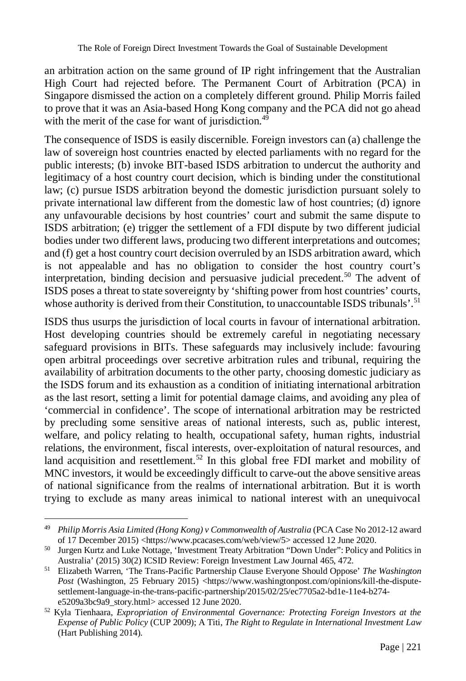an arbitration action on the same ground of IP right infringement that the Australian High Court had rejected before. The Permanent Court of Arbitration (PCA) in Singapore dismissed the action on a completely different ground. Philip Morris failed to prove that it was an Asia-based Hong Kong company and the PCA did not go ahead with the merit of the case for want of jurisdiction.<sup>49</sup>

The consequence of ISDS is easily discernible. Foreign investors can (a) challenge the law of sovereign host countries enacted by elected parliaments with no regard for the public interests; (b) invoke BIT-based ISDS arbitration to undercut the authority and legitimacy of a host country court decision, which is binding under the constitutional law; (c) pursue ISDS arbitration beyond the domestic jurisdiction pursuant solely to private international law different from the domestic law of host countries; (d) ignore any unfavourable decisions by host countries' court and submit the same dispute to ISDS arbitration; (e) trigger the settlement of a FDI dispute by two different judicial bodies under two different laws, producing two different interpretations and outcomes; and (f) get a host country court decision overruled by an ISDS arbitration award, which is not appealable and has no obligation to consider the host country court's interpretation, binding decision and persuasive judicial precedent.<sup>50</sup> The advent of ISDS poses a threat to state sovereignty by 'shifting power from host countries' courts, whose authority is derived from their Constitution, to unaccountable ISDS tribunals'.<sup>51</sup>

ISDS thus usurps the jurisdiction of local courts in favour of international arbitration. Host developing countries should be extremely careful in negotiating necessary safeguard provisions in BITs. These safeguards may inclusively include: favouring open arbitral proceedings over secretive arbitration rules and tribunal, requiring the availability of arbitration documents to the other party, choosing domestic judiciary as the ISDS forum and its exhaustion as a condition of initiating international arbitration as the last resort, setting a limit for potential damage claims, and avoiding any plea of 'commercial in confidence'. The scope of international arbitration may be restricted by precluding some sensitive areas of national interests, such as, public interest, welfare, and policy relating to health, occupational safety, human rights, industrial relations, the environment, fiscal interests, over-exploitation of natural resources, and land acquisition and resettlement.<sup>52</sup> In this global free FDI market and mobility of MNC investors, it would be exceedingly difficult to carve-out the above sensitive areas of national significance from the realms of international arbitration. But it is worth trying to exclude as many areas inimical to national interest with an unequivocal

<sup>49</sup> *Philip Morris Asia Limited (Hong Kong) v Commonwealth of Australia* (PCA Case No 2012-12 award of 17 December 2015) <https://www.pcacases.com/web/view/5> accessed 12 June 2020.

<sup>50</sup> Jurgen Kurtz and Luke Nottage, 'Investment Treaty Arbitration "Down Under": Policy and Politics in Australia' (2015) 30(2) ICSID Review: Foreign Investment Law Journal 465, 472.

<sup>51</sup> Elizabeth Warren, 'The Trans-Pacific Partnership Clause Everyone Should Oppose' *The Washington*  Post (Washington, 25 February 2015) <https://www.washingtonpost.com/opinions/kill-the-disputesettlement-language-in-the-trans-pacific-partnership/2015/02/25/ec7705a2-bd1e-11e4-b274 e5209a3bc9a9\_story.html> accessed 12 June 2020.

<sup>52</sup> Kyla Tienhaara, *Expropriation of Environmental Governance: Protecting Foreign Investors at the Expense of Public Policy* (CUP 2009); A Titi, *The Right to Regulate in International Investment Law* (Hart Publishing 2014).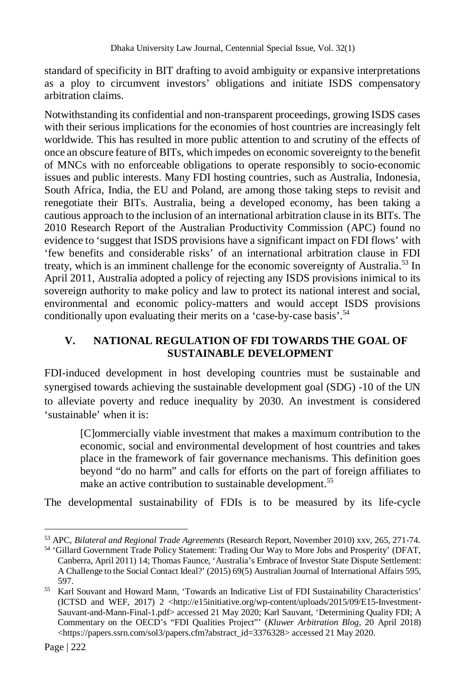standard of specificity in BIT drafting to avoid ambiguity or expansive interpretations as a ploy to circumvent investors' obligations and initiate ISDS compensatory arbitration claims.

Notwithstanding its confidential and non-transparent proceedings, growing ISDS cases with their serious implications for the economies of host countries are increasingly felt worldwide. This has resulted in more public attention to and scrutiny of the effects of once an obscure feature of BITs, which impedes on economic sovereignty to the benefit of MNCs with no enforceable obligations to operate responsibly to socio-economic issues and public interests. Many FDI hosting countries, such as Australia, Indonesia, South Africa, India, the EU and Poland, are among those taking steps to revisit and renegotiate their BITs. Australia, being a developed economy, has been taking a cautious approach to the inclusion of an international arbitration clause in its BITs. The 2010 Research Report of the Australian Productivity Commission (APC) found no evidence to 'suggest that ISDS provisions have a significant impact on FDI flows' with 'few benefits and considerable risks' of an international arbitration clause in FDI treaty, which is an imminent challenge for the economic sovereignty of Australia.<sup>53</sup> In April 2011, Australia adopted a policy of rejecting any ISDS provisions inimical to its sovereign authority to make policy and law to protect its national interest and social, environmental and economic policy-matters and would accept ISDS provisions conditionally upon evaluating their merits on a 'case-by-case basis'.<sup>54</sup>

## **V. NATIONAL REGULATION OF FDI TOWARDS THE GOAL OF SUSTAINABLE DEVELOPMENT**

FDI-induced development in host developing countries must be sustainable and synergised towards achieving the sustainable development goal (SDG) -10 of the UN to alleviate poverty and reduce inequality by 2030. An investment is considered 'sustainable' when it is:

[C]ommercially viable investment that makes a maximum contribution to the economic, social and environmental development of host countries and takes place in the framework of fair governance mechanisms. This definition goes beyond "do no harm" and calls for efforts on the part of foreign affiliates to make an active contribution to sustainable development.<sup>55</sup>

The developmental sustainability of FDIs is to be measured by its life-cycle

 $\overline{a}$ <sup>53</sup> APC, *Bilateral and Regional Trade Agreements* (Research Report, November 2010) xxv, 265, 271-74.

<sup>54</sup> 'Gillard Government Trade Policy Statement: Trading Our Way to More Jobs and Prosperity' (DFAT, Canberra, April 2011) 14; Thomas Faunce, 'Australia's Embrace of Investor State Dispute Settlement: A Challenge to the Social Contact Ideal?' (2015) 69(5) Australian Journal of International Affairs 595, 597.

<sup>55</sup> Karl Souvant and Howard Mann, 'Towards an Indicative List of FDI Sustainability Characteristics' (ICTSD and WEF, 2017) 2 <http://e15initiative.org/wp-content/uploads/2015/09/E15-Investment-Sauvant-and-Mann-Final-1.pdf> accessed 21 May 2020; Karl Sauvant, 'Determining Quality FDI; A Commentary on the OECD's "FDI Qualities Project"' (*Kluwer Arbitration Blog*, 20 April 2018) <https://papers.ssrn.com/sol3/papers.cfm?abstract\_id=3376328> accessed 21 May 2020.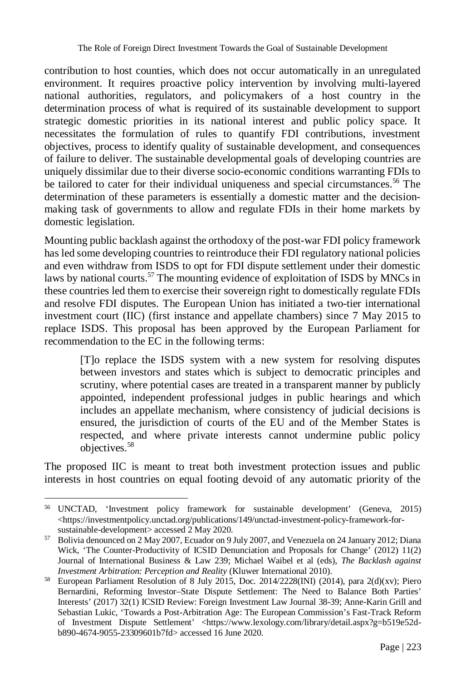contribution to host counties, which does not occur automatically in an unregulated environment. It requires proactive policy intervention by involving multi-layered national authorities, regulators, and policymakers of a host country in the determination process of what is required of its sustainable development to support strategic domestic priorities in its national interest and public policy space. It necessitates the formulation of rules to quantify FDI contributions, investment objectives, process to identify quality of sustainable development, and consequences of failure to deliver. The sustainable developmental goals of developing countries are uniquely dissimilar due to their diverse socio-economic conditions warranting FDIs to be tailored to cater for their individual uniqueness and special circumstances.<sup>56</sup> The determination of these parameters is essentially a domestic matter and the decisionmaking task of governments to allow and regulate FDIs in their home markets by domestic legislation.

Mounting public backlash against the orthodoxy of the post-war FDI policy framework has led some developing countries to reintroduce their FDI regulatory national policies and even withdraw from ISDS to opt for FDI dispute settlement under their domestic laws by national courts.<sup>57</sup> The mounting evidence of exploitation of ISDS by MNCs in these countries led them to exercise their sovereign right to domestically regulate FDIs and resolve FDI disputes. The European Union has initiated a two-tier international investment court (IIC) (first instance and appellate chambers) since 7 May 2015 to replace ISDS. This proposal has been approved by the European Parliament for recommendation to the EC in the following terms:

[T]o replace the ISDS system with a new system for resolving disputes between investors and states which is subject to democratic principles and scrutiny, where potential cases are treated in a transparent manner by publicly appointed, independent professional judges in public hearings and which includes an appellate mechanism, where consistency of judicial decisions is ensured, the jurisdiction of courts of the EU and of the Member States is respected, and where private interests cannot undermine public policy objectives.<sup>58</sup>

The proposed IIC is meant to treat both investment protection issues and public interests in host countries on equal footing devoid of any automatic priority of the

 $\overline{a}$ <sup>56</sup> UNCTAD, 'Investment policy framework for sustainable development' (Geneva*,* 2015)  $\langle$ https://investmentpolicy.unctad.org/publications/149/unctad-investment-policy-framework-forsustainable-development> accessed 2 May 2020.

<sup>&</sup>lt;sup>57</sup> Bolivia denounced on 2 May 2007, Ecuador on 9 July 2007, and Venezuela on 24 January 2012; Diana Wick, 'The Counter-Productivity of ICSID Denunciation and Proposals for Change' (2012) 11(2) Journal of International Business & Law 239; Michael Waibel et al (eds), *The Backlash against Investment Arbitration: Perception and Reality* (Kluwer International 2010).

<sup>58</sup> European Parliament Resolution of 8 July 2015, Doc. 2014/2228(INI) (2014), para 2(d)(xv); Piero Bernardini, Reforming Investor–State Dispute Settlement: The Need to Balance Both Parties' Interests' (2017) 32(1) ICSID Review: Foreign Investment Law Journal 38-39; Anne-Karin Grill and Sebastian Lukic, 'Towards a Post-Arbitration Age: The European Commission's Fast-Track Reform of Investment Dispute Settlement' <https://www.lexology.com/library/detail.aspx?g=b519e52db890-4674-9055-23309601b7fd> accessed 16 June 2020.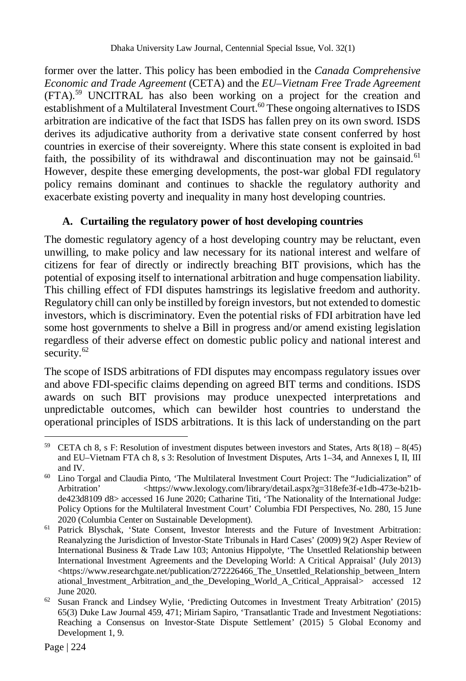former over the latter. This policy has been embodied in the *Canada Comprehensive Economic and Trade Agreement* (CETA) and the *EU–Vietnam Free Trade Agreement*  (FTA). <sup>59</sup> UNCITRAL has also been working on a project for the creation and establishment of a Multilateral Investment Court.<sup>60</sup> These ongoing alternatives to ISDS arbitration are indicative of the fact that ISDS has fallen prey on its own sword. ISDS derives its adjudicative authority from a derivative state consent conferred by host countries in exercise of their sovereignty. Where this state consent is exploited in bad faith, the possibility of its withdrawal and discontinuation may not be gainsaid.<sup>61</sup> However, despite these emerging developments, the post-war global FDI regulatory policy remains dominant and continues to shackle the regulatory authority and exacerbate existing poverty and inequality in many host developing countries.

## **A. Curtailing the regulatory power of host developing countries**

The domestic regulatory agency of a host developing country may be reluctant, even unwilling, to make policy and law necessary for its national interest and welfare of citizens for fear of directly or indirectly breaching BIT provisions, which has the potential of exposing itself to international arbitration and huge compensation liability. This chilling effect of FDI disputes hamstrings its legislative freedom and authority. Regulatory chill can only be instilled by foreign investors, but not extended to domestic investors, which is discriminatory. Even the potential risks of FDI arbitration have led some host governments to shelve a Bill in progress and/or amend existing legislation regardless of their adverse effect on domestic public policy and national interest and security. $62$ 

The scope of ISDS arbitrations of FDI disputes may encompass regulatory issues over and above FDI-specific claims depending on agreed BIT terms and conditions. ISDS awards on such BIT provisions may produce unexpected interpretations and unpredictable outcomes, which can bewilder host countries to understand the operational principles of ISDS arbitrations. It is this lack of understanding on the part

 $\overline{a}$ <sup>59</sup> CETA ch 8, s F: Resolution of investment disputes between investors and States, Arts  $8(18) - 8(45)$ and EU–Vietnam FTA ch 8, s 3: Resolution of Investment Disputes, Arts 1–34, and Annexes I, II, III and IV.

<sup>60</sup> Lino Torgal and Claudia Pinto, 'The Multilateral Investment Court Project: The "Judicialization" of Arbitration' <https://www.lexology.com/library/detail.aspx?g=318efe3f-e1db-473e-b21bde423d8109 d8> accessed 16 June 2020; Catharine Titi, 'The Nationality of the International Judge: Policy Options for the Multilateral Investment Court' Columbia FDI Perspectives, No. 280, 15 June 2020 (Columbia Center on Sustainable Development).

<sup>61</sup> Patrick Blyschak, 'State Consent, Investor Interests and the Future of Investment Arbitration: Reanalyzing the Jurisdiction of Investor-State Tribunals in Hard Cases' (2009) 9(2) Asper Review of International Business & Trade Law 103; Antonius Hippolyte, 'The Unsettled Relationship between International Investment Agreements and the Developing World: A Critical Appraisal' (July 2013) <https://www.researchgate.net/publication/272226466\_The\_Unsettled\_Relationship\_between\_Intern ational\_Investment\_Arbitration\_and\_the\_Developing\_World\_A\_Critical\_Appraisal> accessed 12 June 2020.

 $62$  Susan Franck and Lindsey Wylie, 'Predicting Outcomes in Investment Treaty Arbitration' (2015) 65(3) Duke Law Journal 459, 471; Miriam Sapiro, 'Transatlantic Trade and Investment Negotiations: Reaching a Consensus on Investor-State Dispute Settlement' (2015) 5 Global Economy and Development 1, 9.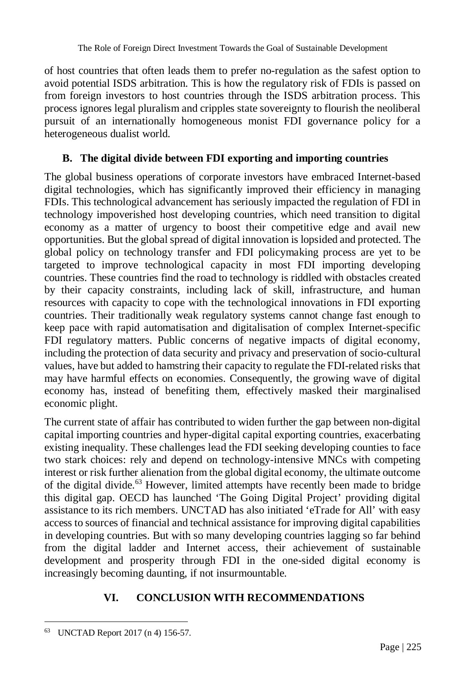of host countries that often leads them to prefer no-regulation as the safest option to avoid potential ISDS arbitration. This is how the regulatory risk of FDIs is passed on from foreign investors to host countries through the ISDS arbitration process. This process ignores legal pluralism and cripples state sovereignty to flourish the neoliberal pursuit of an internationally homogeneous monist FDI governance policy for a heterogeneous dualist world.

# **B. The digital divide between FDI exporting and importing countries**

The global business operations of corporate investors have embraced Internet-based digital technologies, which has significantly improved their efficiency in managing FDIs. This technological advancement has seriously impacted the regulation of FDI in technology impoverished host developing countries, which need transition to digital economy as a matter of urgency to boost their competitive edge and avail new opportunities. But the global spread of digital innovation is lopsided and protected. The global policy on technology transfer and FDI policymaking process are yet to be targeted to improve technological capacity in most FDI importing developing countries. These countries find the road to technology is riddled with obstacles created by their capacity constraints, including lack of skill, infrastructure, and human resources with capacity to cope with the technological innovations in FDI exporting countries. Their traditionally weak regulatory systems cannot change fast enough to keep pace with rapid automatisation and digitalisation of complex Internet-specific FDI regulatory matters. Public concerns of negative impacts of digital economy, including the protection of data security and privacy and preservation of socio-cultural values, have but added to hamstring their capacity to regulate the FDI-related risks that may have harmful effects on economies. Consequently, the growing wave of digital economy has, instead of benefiting them, effectively masked their marginalised economic plight.

The current state of affair has contributed to widen further the gap between non-digital capital importing countries and hyper-digital capital exporting countries, exacerbating existing inequality. These challenges lead the FDI seeking developing counties to face two stark choices: rely and depend on technology-intensive MNCs with competing interest or risk further alienation from the global digital economy, the ultimate outcome of the digital divide. $63$  However, limited attempts have recently been made to bridge this digital gap. OECD has launched 'The Going Digital Project' providing digital assistance to its rich members. UNCTAD has also initiated 'eTrade for All' with easy access to sources of financial and technical assistance for improving digital capabilities in developing countries. But with so many developing countries lagging so far behind from the digital ladder and Internet access, their achievement of sustainable development and prosperity through FDI in the one-sided digital economy is increasingly becoming daunting, if not insurmountable.

# **VI. CONCLUSION WITH RECOMMENDATIONS**

 $\overline{a}$ <sup>63</sup> UNCTAD Report 2017 (n 4) 156-57.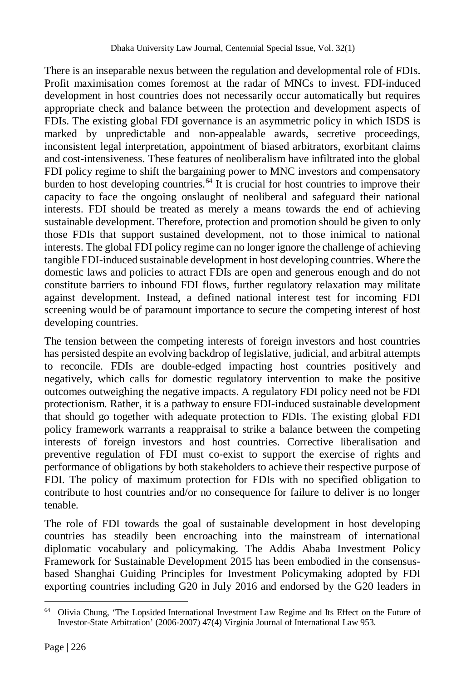There is an inseparable nexus between the regulation and developmental role of FDIs. Profit maximisation comes foremost at the radar of MNCs to invest. FDI-induced development in host countries does not necessarily occur automatically but requires appropriate check and balance between the protection and development aspects of FDIs. The existing global FDI governance is an asymmetric policy in which ISDS is marked by unpredictable and non-appealable awards, secretive proceedings, inconsistent legal interpretation, appointment of biased arbitrators, exorbitant claims and cost-intensiveness. These features of neoliberalism have infiltrated into the global FDI policy regime to shift the bargaining power to MNC investors and compensatory burden to host developing countries.<sup>64</sup> It is crucial for host countries to improve their capacity to face the ongoing onslaught of neoliberal and safeguard their national interests. FDI should be treated as merely a means towards the end of achieving sustainable development. Therefore, protection and promotion should be given to only those FDIs that support sustained development, not to those inimical to national interests. The global FDI policy regime can no longer ignore the challenge of achieving tangible FDI-induced sustainable development in host developing countries. Where the domestic laws and policies to attract FDIs are open and generous enough and do not constitute barriers to inbound FDI flows, further regulatory relaxation may militate against development. Instead, a defined national interest test for incoming FDI screening would be of paramount importance to secure the competing interest of host developing countries.

The tension between the competing interests of foreign investors and host countries has persisted despite an evolving backdrop of legislative, judicial, and arbitral attempts to reconcile. FDIs are double-edged impacting host countries positively and negatively, which calls for domestic regulatory intervention to make the positive outcomes outweighing the negative impacts. A regulatory FDI policy need not be FDI protectionism. Rather, it is a pathway to ensure FDI-induced sustainable development that should go together with adequate protection to FDIs. The existing global FDI policy framework warrants a reappraisal to strike a balance between the competing interests of foreign investors and host countries. Corrective liberalisation and preventive regulation of FDI must co-exist to support the exercise of rights and performance of obligations by both stakeholders to achieve their respective purpose of FDI. The policy of maximum protection for FDIs with no specified obligation to contribute to host countries and/or no consequence for failure to deliver is no longer tenable.

The role of FDI towards the goal of sustainable development in host developing countries has steadily been encroaching into the mainstream of international diplomatic vocabulary and policymaking. The Addis Ababa Investment Policy Framework for Sustainable Development 2015 has been embodied in the consensusbased Shanghai Guiding Principles for Investment Policymaking adopted by FDI exporting countries including G20 in July 2016 and endorsed by the G20 leaders in

<sup>&</sup>lt;sup>64</sup> Olivia Chung, 'The Lopsided International Investment Law Regime and Its Effect on the Future of Investor-State Arbitration' (2006-2007) 47(4) Virginia Journal of International Law 953.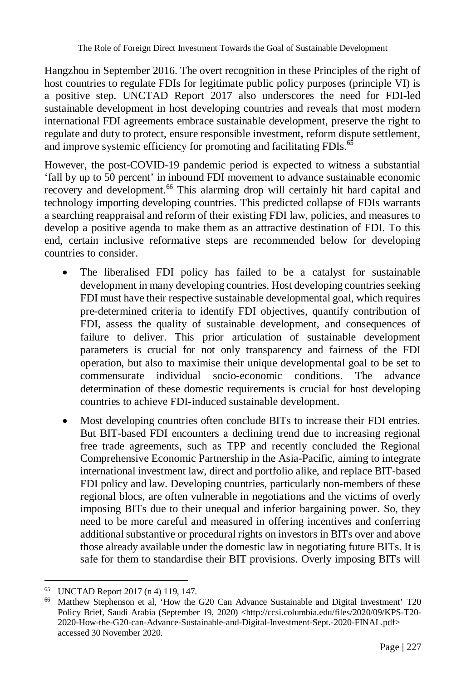Hangzhou in September 2016. The overt recognition in these Principles of the right of host countries to regulate FDIs for legitimate public policy purposes (principle VI) is a positive step. UNCTAD Report 2017 also underscores the need for FDI-led sustainable development in host developing countries and reveals that most modern international FDI agreements embrace sustainable development, preserve the right to regulate and duty to protect, ensure responsible investment, reform dispute settlement, and improve systemic efficiency for promoting and facilitating FDIs.<sup>65</sup>

However, the post-COVID-19 pandemic period is expected to witness a substantial 'fall by up to 50 percent' in inbound FDI movement to advance sustainable economic recovery and development.<sup>66</sup> This alarming drop will certainly hit hard capital and technology importing developing countries. This predicted collapse of FDIs warrants a searching reappraisal and reform of their existing FDI law, policies, and measures to develop a positive agenda to make them as an attractive destination of FDI. To this end, certain inclusive reformative steps are recommended below for developing countries to consider.

- The liberalised FDI policy has failed to be a catalyst for sustainable development in many developing countries. Host developing countries seeking FDI must have their respective sustainable developmental goal, which requires pre-determined criteria to identify FDI objectives, quantify contribution of FDI, assess the quality of sustainable development, and consequences of failure to deliver. This prior articulation of sustainable development parameters is crucial for not only transparency and fairness of the FDI operation, but also to maximise their unique developmental goal to be set to commensurate individual socio-economic conditions. The advance determination of these domestic requirements is crucial for host developing countries to achieve FDI-induced sustainable development.
- Most developing countries often conclude BITs to increase their FDI entries. But BIT-based FDI encounters a declining trend due to increasing regional free trade agreements, such as TPP and recently concluded the Regional Comprehensive Economic Partnership in the Asia-Pacific, aiming to integrate international investment law, direct and portfolio alike, and replace BIT-based FDI policy and law. Developing countries, particularly non-members of these regional blocs, are often vulnerable in negotiations and the victims of overly imposing BITs due to their unequal and inferior bargaining power. So, they need to be more careful and measured in offering incentives and conferring additional substantive or procedural rights on investors in BITs over and above those already available under the domestic law in negotiating future BITs. It is safe for them to standardise their BIT provisions. Overly imposing BITs will

 $\overline{a}$ <sup>65</sup> UNCTAD Report 2017 (n 4) 119, 147.

<sup>66</sup> Matthew Stephenson et al, 'How the G20 Can Advance Sustainable and Digital Investment' T20 Policy Brief, Saudi Arabia (September 19, 2020) <http://ccsi.columbia.edu/files/2020/09/KPS-T20-2020-How-the-G20-can-Advance-Sustainable-and-Digital-Investment-Sept.-2020-FINAL.pdf> accessed 30 November 2020.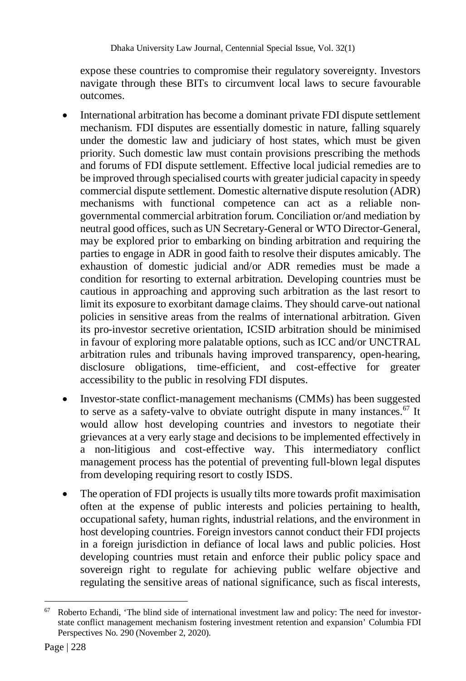expose these countries to compromise their regulatory sovereignty. Investors navigate through these BITs to circumvent local laws to secure favourable outcomes.

- International arbitration has become a dominant private FDI dispute settlement mechanism. FDI disputes are essentially domestic in nature, falling squarely under the domestic law and judiciary of host states, which must be given priority. Such domestic law must contain provisions prescribing the methods and forums of FDI dispute settlement. Effective local judicial remedies are to be improved through specialised courts with greater judicial capacity in speedy commercial dispute settlement. Domestic alternative dispute resolution (ADR) mechanisms with functional competence can act as a reliable nongovernmental commercial arbitration forum. Conciliation or/and mediation by neutral good offices, such as UN Secretary-General or WTO Director-General, may be explored prior to embarking on binding arbitration and requiring the parties to engage in ADR in good faith to resolve their disputes amicably. The exhaustion of domestic judicial and/or ADR remedies must be made a condition for resorting to external arbitration. Developing countries must be cautious in approaching and approving such arbitration as the last resort to limit its exposure to exorbitant damage claims. They should carve-out national policies in sensitive areas from the realms of international arbitration. Given its pro-investor secretive orientation, ICSID arbitration should be minimised in favour of exploring more palatable options, such as ICC and/or UNCTRAL arbitration rules and tribunals having improved transparency, open-hearing, disclosure obligations, time-efficient, and cost-effective for greater accessibility to the public in resolving FDI disputes.
- Investor-state conflict-management mechanisms (CMMs) has been suggested to serve as a safety-valve to obviate outright dispute in many instances.<sup>67</sup> It would allow host developing countries and investors to negotiate their grievances at a very early stage and decisions to be implemented effectively in a non-litigious and cost-effective way. This intermediatory conflict management process has the potential of preventing full-blown legal disputes from developing requiring resort to costly ISDS.
- The operation of FDI projects is usually tilts more towards profit maximisation often at the expense of public interests and policies pertaining to health, occupational safety, human rights, industrial relations, and the environment in host developing countries. Foreign investors cannot conduct their FDI projects in a foreign jurisdiction in defiance of local laws and public policies. Host developing countries must retain and enforce their public policy space and sovereign right to regulate for achieving public welfare objective and regulating the sensitive areas of national significance, such as fiscal interests,

 $\overline{a}$ <sup>67</sup> Roberto Echandi, 'The blind side of international investment law and policy: The need for investorstate conflict management mechanism fostering investment retention and expansion' Columbia FDI Perspectives No. 290 (November 2, 2020).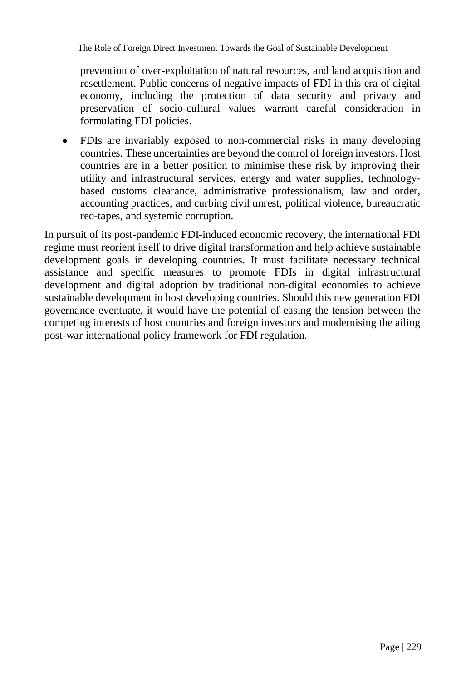The Role of Foreign Direct Investment Towards the Goal of Sustainable Development

prevention of over-exploitation of natural resources, and land acquisition and resettlement. Public concerns of negative impacts of FDI in this era of digital economy, including the protection of data security and privacy and preservation of socio-cultural values warrant careful consideration in formulating FDI policies.

 FDIs are invariably exposed to non-commercial risks in many developing countries. These uncertainties are beyond the control of foreign investors. Host countries are in a better position to minimise these risk by improving their utility and infrastructural services, energy and water supplies, technologybased customs clearance, administrative professionalism, law and order, accounting practices, and curbing civil unrest, political violence, bureaucratic red-tapes, and systemic corruption.

In pursuit of its post-pandemic FDI-induced economic recovery, the international FDI regime must reorient itself to drive digital transformation and help achieve sustainable development goals in developing countries. It must facilitate necessary technical assistance and specific measures to promote FDIs in digital infrastructural development and digital adoption by traditional non-digital economies to achieve sustainable development in host developing countries. Should this new generation FDI governance eventuate, it would have the potential of easing the tension between the competing interests of host countries and foreign investors and modernising the ailing post-war international policy framework for FDI regulation.